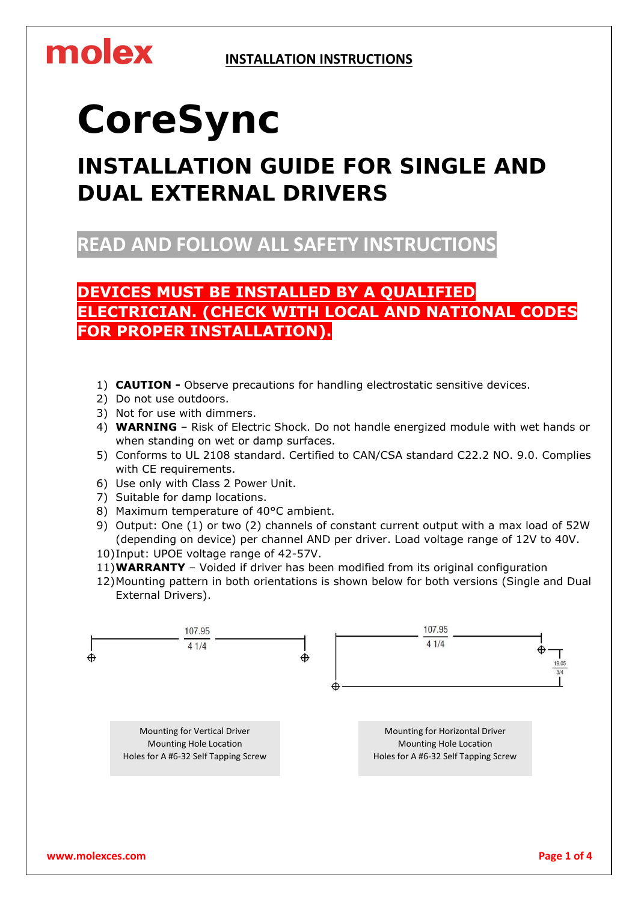## molex

# **CoreSync**

## **INSTALLATION GUIDE FOR SINGLE AND DUAL EXTERNAL DRIVERS**

**READ AND FOLLOW ALL SAFETY INSTRUCTIONS**

**DEVICES MUST BE INSTALLED BY A QUALIFIED ELECTRICIAN. (CHECK WITH LOCAL AND NATIONAL CODES FOR PROPER INSTALLATION).**

- 1) **CAUTION -** Observe precautions for handling electrostatic sensitive devices.
- 2) Do not use outdoors.
- 3) Not for use with dimmers.
- 4) **WARNING**  Risk of Electric Shock. Do not handle energized module with wet hands or when standing on wet or damp surfaces.
- 5) Conforms to UL 2108 standard. Certified to CAN/CSA standard C22.2 NO. 9.0. Complies with CE requirements.
- 6) Use only with Class 2 Power Unit.
- 7) Suitable for damp locations.
- 8) Maximum temperature of 40°C ambient.
- 9) Output: One (1) or two (2) channels of constant current output with a max load of 52W (depending on device) per channel AND per driver. Load voltage range of 12V to 40V.
- 10)Input: UPOE voltage range of 42-57V.
- 11)**WARRANTY**  Voided if driver has been modified from its original configuration
- 12)Mounting pattern in both orientations is shown below for both versions (Single and Dual External Drivers).

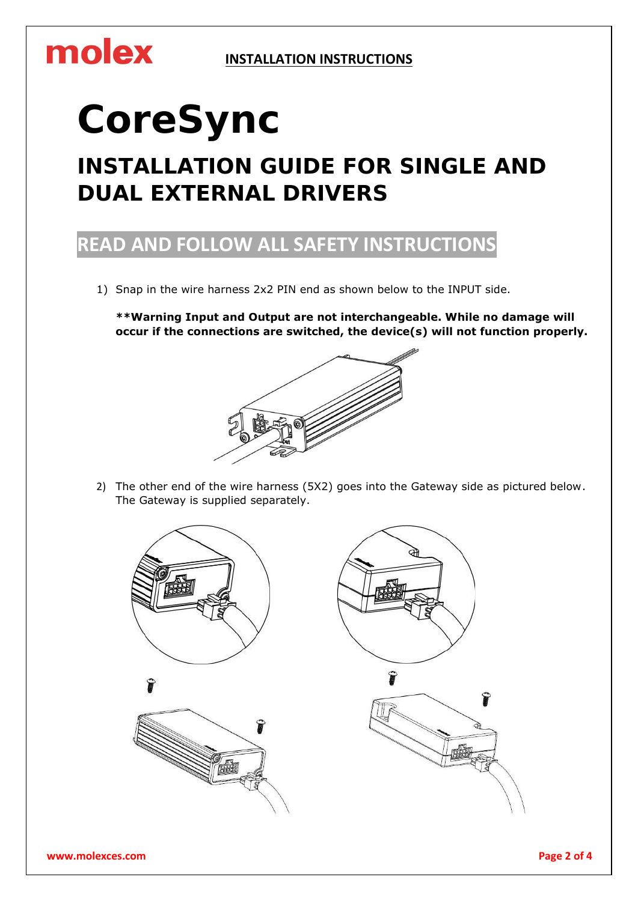#### **INSTALLATION INSTRUCTIONS**

## molex

# **CoreSync**

## **INSTALLATION GUIDE FOR SINGLE AND DUAL EXTERNAL DRIVERS**

### **READ AND FOLLOW ALL SAFETY INSTRUCTIONS**

1) Snap in the wire harness 2x2 PIN end as shown below to the INPUT side.

**\*\*Warning Input and Output are not interchangeable. While no damage will occur if the connections are switched, the device(s) will not function properly.**



2) The other end of the wire harness (5X2) goes into the Gateway side as pictured below. The Gateway is supplied separately.

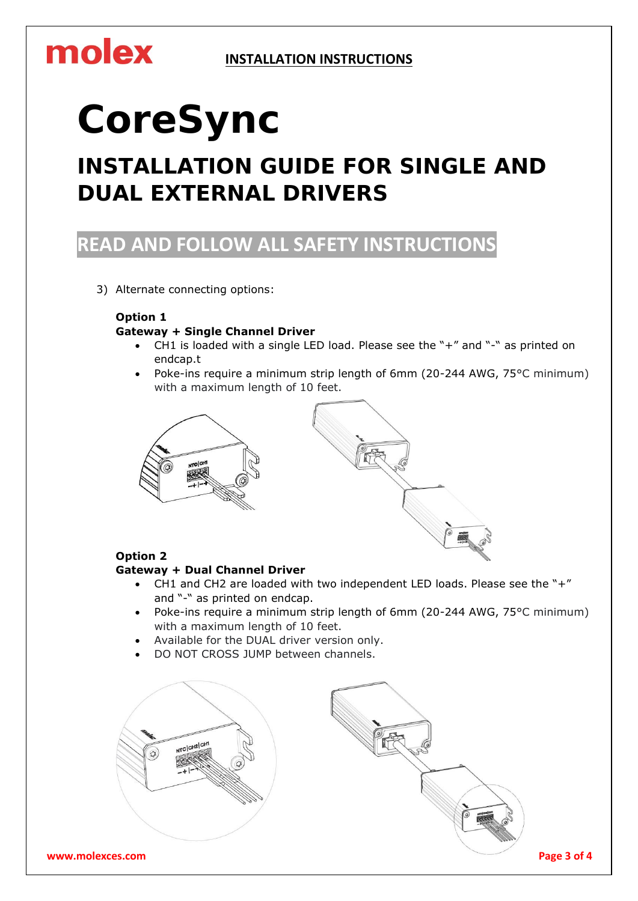#### **INSTALLATION INSTRUCTIONS**

## molex

# **CoreSync**

## **INSTALLATION GUIDE FOR SINGLE AND DUAL EXTERNAL DRIVERS**

### **READ AND FOLLOW ALL SAFETY INSTRUCTIONS**

3) Alternate connecting options:

#### **Option 1**

#### **Gateway + Single Channel Driver**

- CH1 is loaded with a single LED load. Please see the "+" and "-" as printed on endcap.t
- Poke-ins require a minimum strip length of 6mm (20-244 AWG, 75°C minimum) with a maximum length of 10 feet.



#### **Option 2**

#### **Gateway + Dual Channel Driver**

- CH1 and CH2 are loaded with two independent LED loads. Please see the "+" and "-" as printed on endcap.
- Poke-ins require a minimum strip length of 6mm (20-244 AWG, 75°C minimum) with a maximum length of 10 feet.
- Available for the DUAL driver version only.
- DO NOT CROSS JUMP between channels.